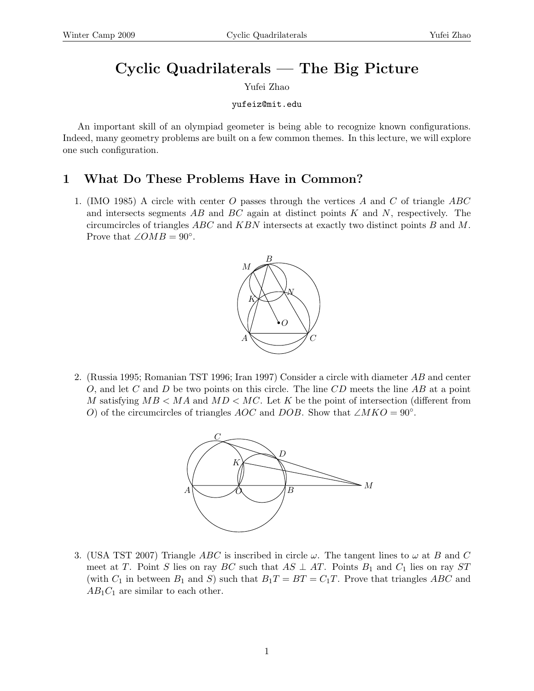# Cyclic Quadrilaterals — The Big Picture

Yufei Zhao

yufeiz@mit.edu

An important skill of an olympiad geometer is being able to recognize known configurations. Indeed, many geometry problems are built on a few common themes. In this lecture, we will explore one such configuration.

# 1 What Do These Problems Have in Common?

1. (IMO 1985) A circle with center  $O$  passes through the vertices  $A$  and  $C$  of triangle  $ABC$ and intersects segments  $AB$  and  $BC$  again at distinct points K and N, respectively. The circumcircles of triangles  $ABC$  and  $KBN$  intersects at exactly two distinct points  $B$  and  $M$ . Prove that  $\angle OMB = 90^\circ$ .



2. (Russia 1995; Romanian TST 1996; Iran 1997) Consider a circle with diameter AB and center O, and let C and D be two points on this circle. The line  $CD$  meets the line AB at a point M satisfying  $MB < MA$  and  $MD < MC$ . Let K be the point of intersection (different from O) of the circumcircles of triangles AOC and DOB. Show that  $\angle MKO = 90°$ .



3. (USA TST 2007) Triangle ABC is inscribed in circle  $\omega$ . The tangent lines to  $\omega$  at B and C meet at T. Point S lies on ray BC such that  $AS \perp AT$ . Points  $B_1$  and  $C_1$  lies on ray ST (with  $C_1$  in between  $B_1$  and S) such that  $B_1T = BT = C_1T$ . Prove that triangles ABC and  $AB_1C_1$  are similar to each other.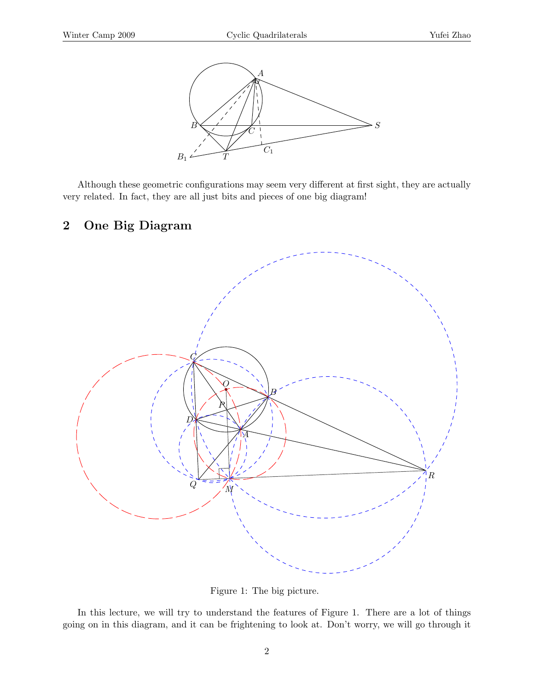

Although these geometric configurations may seem very different at first sight, they are actually very related. In fact, they are all just bits and pieces of one big diagram!

### 2 One Big Diagram



Figure 1: The big picture.

In this lecture, we will try to understand the features of Figure 1. There are a lot of things going on in this diagram, and it can be frightening to look at. Don't worry, we will go through it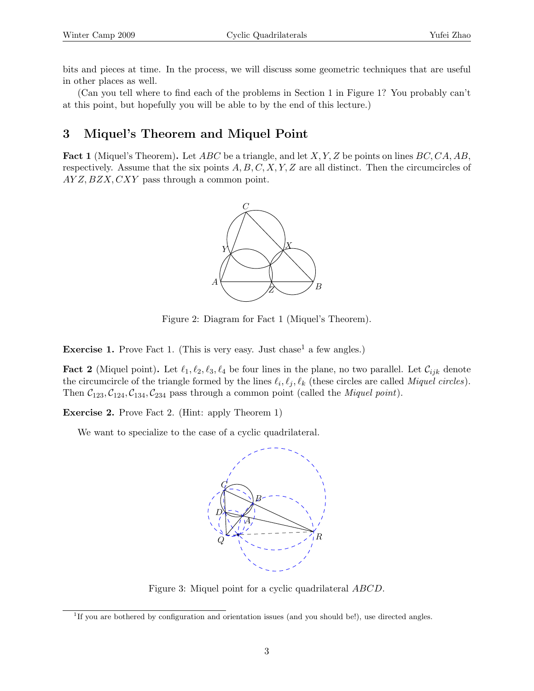bits and pieces at time. In the process, we will discuss some geometric techniques that are useful in other places as well.

(Can you tell where to find each of the problems in Section 1 in Figure 1? You probably can't at this point, but hopefully you will be able to by the end of this lecture.)

## 3 Miquel's Theorem and Miquel Point

**Fact 1** (Miquel's Theorem). Let  $ABC$  be a triangle, and let X, Y, Z be points on lines  $BC, CA, AB$ , respectively. Assume that the six points  $A, B, C, X, Y, Z$  are all distinct. Then the circumcircles of  $AYZ, BZX, CXY$  pass through a common point.



Figure 2: Diagram for Fact 1 (Miquel's Theorem).

**Exercise 1.** Prove Fact 1. (This is very easy. Just chase<sup>1</sup> a few angles.)

**Fact 2** (Miquel point). Let  $\ell_1, \ell_2, \ell_3, \ell_4$  be four lines in the plane, no two parallel. Let  $\mathcal{C}_{ijk}$  denote the circumcircle of the triangle formed by the lines  $\ell_i, \ell_j, \ell_k$  (these circles are called *Miquel circles*). Then  $C_{123}, C_{124}, C_{134}, C_{234}$  pass through a common point (called the *Miquel point*).

Exercise 2. Prove Fact 2. (Hint: apply Theorem 1)

We want to specialize to the case of a cyclic quadrilateral.



Figure 3: Miquel point for a cyclic quadrilateral ABCD.

<sup>&</sup>lt;sup>1</sup>If you are bothered by configuration and orientation issues (and you should be!), use directed angles.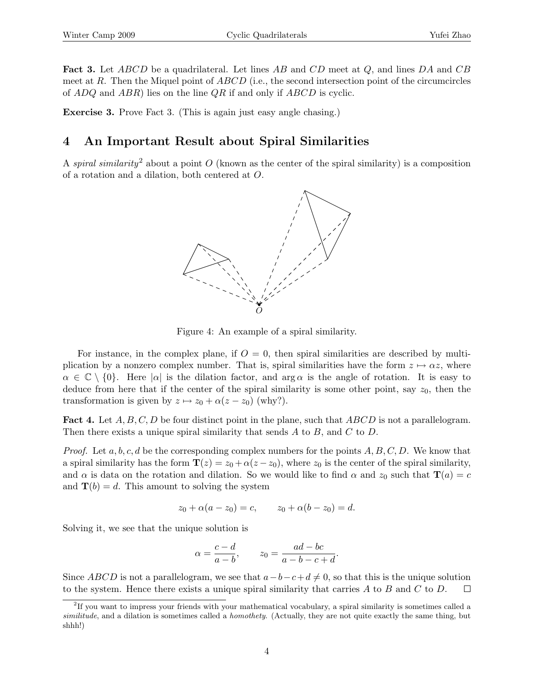**Fact 3.** Let ABCD be a quadrilateral. Let lines AB and CD meet at Q, and lines DA and CB meet at R. Then the Miquel point of  $ABCD$  (i.e., the second intersection point of the circumcircles of  $ADQ$  and  $ABR$ ) lies on the line  $QR$  if and only if  $ABCD$  is cyclic.

Exercise 3. Prove Fact 3. (This is again just easy angle chasing.)

## 4 An Important Result about Spiral Similarities

A spiral similarity<sup>2</sup> about a point O (known as the center of the spiral similarity) is a composition of a rotation and a dilation, both centered at O.



Figure 4: An example of a spiral similarity.

For instance, in the complex plane, if  $O = 0$ , then spiral similarities are described by multiplication by a nonzero complex number. That is, spiral similarities have the form  $z \mapsto \alpha z$ , where  $\alpha \in \mathbb{C} \setminus \{0\}$ . Here  $|\alpha|$  is the dilation factor, and  $\arg \alpha$  is the angle of rotation. It is easy to deduce from here that if the center of the spiral similarity is some other point, say  $z_0$ , then the transformation is given by  $z \mapsto z_0 + \alpha(z - z_0)$  (why?).

**Fact 4.** Let  $A, B, C, D$  be four distinct point in the plane, such that ABCD is not a parallelogram. Then there exists a unique spiral similarity that sends  $A$  to  $B$ , and  $C$  to  $D$ .

*Proof.* Let  $a, b, c, d$  be the corresponding complex numbers for the points  $A, B, C, D$ . We know that a spiral similarity has the form  $\mathbf{T}(z) = z_0 + \alpha(z - z_0)$ , where  $z_0$  is the center of the spiral similarity, and  $\alpha$  is data on the rotation and dilation. So we would like to find  $\alpha$  and  $z_0$  such that  $\mathbf{T}(a) = c$ and  $\mathbf{T}(b) = d$ . This amount to solving the system

$$
z_0 + \alpha(a - z_0) = c,
$$
  $z_0 + \alpha(b - z_0) = d.$ 

Solving it, we see that the unique solution is

$$
\alpha = \frac{c - d}{a - b}, \qquad z_0 = \frac{ad - bc}{a - b - c + d}.
$$

Since ABCD is not a parallelogram, we see that  $a-b-c+d \neq 0$ , so that this is the unique solution to the system. Hence there exists a unique spiral similarity that carries  $A$  to  $B$  and  $C$  to  $D$ .  $\Box$ 

<sup>&</sup>lt;sup>2</sup>If you want to impress your friends with your mathematical vocabulary, a spiral similarity is sometimes called a similitude, and a dilation is sometimes called a *homothety*. (Actually, they are not quite exactly the same thing, but shhh!)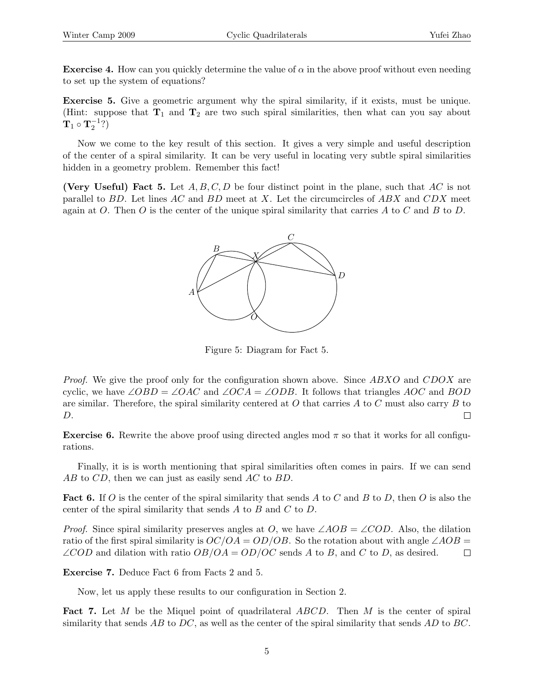**Exercise 4.** How can you quickly determine the value of  $\alpha$  in the above proof without even needing to set up the system of equations?

Exercise 5. Give a geometric argument why the spiral similarity, if it exists, must be unique. (Hint: suppose that  $T_1$  and  $T_2$  are two such spiral similarities, then what can you say about  $\mathbf{T}_1 \circ \mathbf{T}_2^{-1} ?$ 

Now we come to the key result of this section. It gives a very simple and useful description of the center of a spiral similarity. It can be very useful in locating very subtle spiral similarities hidden in a geometry problem. Remember this fact!

(Very Useful) Fact 5. Let  $A, B, C, D$  be four distinct point in the plane, such that  $AC$  is not parallel to  $BD$ . Let lines  $AC$  and  $BD$  meet at X. Let the circumcircles of  $ABX$  and  $CDX$  meet again at O. Then O is the center of the unique spiral similarity that carries A to C and B to D.



Figure 5: Diagram for Fact 5.

Proof. We give the proof only for the configuration shown above. Since ABXO and CDOX are cyclic, we have ∠OBD = ∠OAC and ∠OCA = ∠ODB. It follows that triangles AOC and BOD are similar. Therefore, the spiral similarity centered at  $O$  that carries  $A$  to  $C$  must also carry  $B$  to D.  $\Box$ 

**Exercise 6.** Rewrite the above proof using directed angles mod  $\pi$  so that it works for all configurations.

Finally, it is is worth mentioning that spiral similarities often comes in pairs. If we can send AB to CD, then we can just as easily send AC to BD.

**Fact 6.** If O is the center of the spiral similarity that sends A to C and B to D, then O is also the center of the spiral similarity that sends A to B and C to D.

*Proof.* Since spiral similarity preserves angles at O, we have  $\angle AOB = \angle COD$ . Also, the dilation ratio of the first spiral similarity is  $OC/OA = OD/OB$ . So the rotation about with angle ∠ $AOB =$  $\angle COD$  and dilation with ratio  $OB/OA = OD/OC$  sends A to B, and C to D, as desired.  $\Box$ 

Exercise 7. Deduce Fact 6 from Facts 2 and 5.

Now, let us apply these results to our configuration in Section 2.

Fact 7. Let M be the Miquel point of quadrilateral ABCD. Then M is the center of spiral similarity that sends  $AB$  to  $DC$ , as well as the center of the spiral similarity that sends  $AD$  to  $BC$ .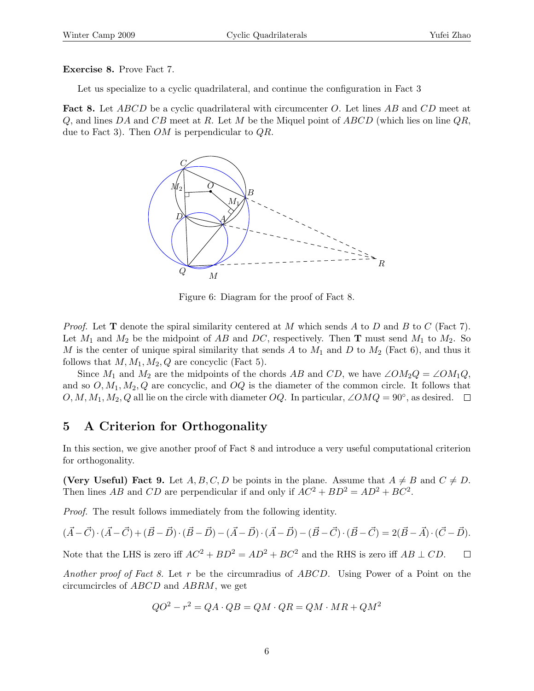Exercise 8. Prove Fact 7.

Let us specialize to a cyclic quadrilateral, and continue the configuration in Fact 3

**Fact 8.** Let *ABCD* be a cyclic quadrilateral with circumcenter O. Let lines AB and CD meet at  $Q$ , and lines DA and CB meet at R. Let M be the Miquel point of ABCD (which lies on line  $QR$ , due to Fact 3). Then  $OM$  is perpendicular to  $QR$ .



Figure 6: Diagram for the proof of Fact 8.

*Proof.* Let **T** denote the spiral similarity centered at M which sends A to D and B to C (Fact 7). Let  $M_1$  and  $M_2$  be the midpoint of AB and DC, respectively. Then **T** must send  $M_1$  to  $M_2$ . So M is the center of unique spiral similarity that sends A to  $M_1$  and D to  $M_2$  (Fact 6), and thus it follows that  $M, M_1, M_2, Q$  are concyclic (Fact 5).

Since  $M_1$  and  $M_2$  are the midpoints of the chords AB and CD, we have ∠O $M_2Q = \angle OM_1Q$ , and so  $O, M_1, M_2, Q$  are concyclic, and  $OQ$  is the diameter of the common circle. It follows that  $O, M, M_1, M_2, Q$  all lie on the circle with diameter  $OQ$ . In particular,  $\angle OMQ = 90^\circ$ , as desired.

## 5 A Criterion for Orthogonality

In this section, we give another proof of Fact 8 and introduce a very useful computational criterion for orthogonality.

(Very Useful) Fact 9. Let A, B, C, D be points in the plane. Assume that  $A \neq B$  and  $C \neq D$ . Then lines AB and CD are perpendicular if and only if  $AC^2 + BD^2 = AD^2 + BC^2$ .

Proof. The result follows immediately from the following identity.

$$
(\vec{A}-\vec{C})\cdot (\vec{A}-\vec{C})+(\vec{B}-\vec{D})\cdot (\vec{B}-\vec{D})-(\vec{A}-\vec{D})\cdot (\vec{A}-\vec{D})-(\vec{B}-\vec{C})\cdot (\vec{B}-\vec{C})=2(\vec{B}-\vec{A})\cdot (\vec{C}-\vec{D}).
$$

Note that the LHS is zero iff  $AC^2 + BD^2 = AD^2 + BC^2$  and the RHS is zero iff  $AB \perp CD$ .  $\Box$ 

Another proof of Fact 8. Let r be the circumradius of ABCD. Using Power of a Point on the circumcircles of ABCD and ABRM, we get

$$
QO^2 - r^2 = QA \cdot QB = QM \cdot QR = QM \cdot MR + QM^2
$$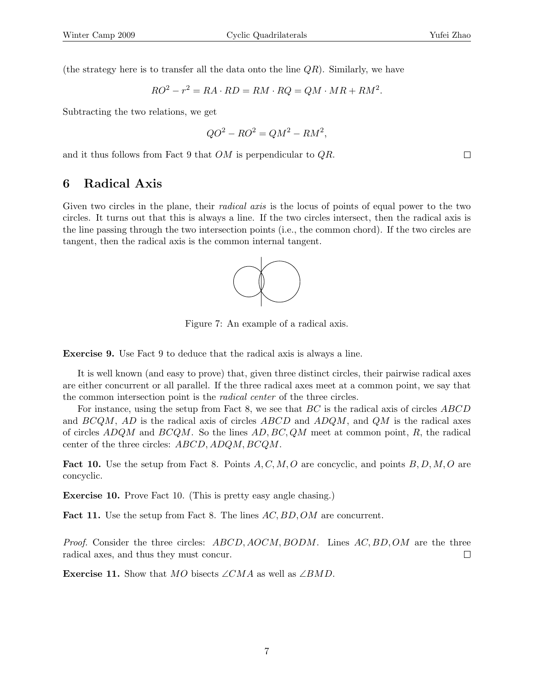(the strategy here is to transfer all the data onto the line  $QR$ ). Similarly, we have

$$
RO2 - r2 = RA \cdot RD = RM \cdot RQ = QM \cdot MR + RM2.
$$

Subtracting the two relations, we get

$$
QO^2 - RO^2 = QM^2 - RM^2,
$$

and it thus follows from Fact 9 that OM is perpendicular to QR.

#### 6 Radical Axis

Given two circles in the plane, their *radical axis* is the locus of points of equal power to the two circles. It turns out that this is always a line. If the two circles intersect, then the radical axis is the line passing through the two intersection points (i.e., the common chord). If the two circles are tangent, then the radical axis is the common internal tangent.



Figure 7: An example of a radical axis.

Exercise 9. Use Fact 9 to deduce that the radical axis is always a line.

It is well known (and easy to prove) that, given three distinct circles, their pairwise radical axes are either concurrent or all parallel. If the three radical axes meet at a common point, we say that the common intersection point is the radical center of the three circles.

For instance, using the setup from Fact 8, we see that BC is the radical axis of circles ABCD and BCQM, AD is the radical axis of circles ABCD and ADQM, and QM is the radical axes of circles  $ADQM$  and  $BCQM$ . So the lines  $AD, BC, QM$  meet at common point, R, the radical center of the three circles: ABCD, ADQM, BCQM.

**Fact 10.** Use the setup from Fact 8. Points  $A, C, M, O$  are concyclic, and points  $B, D, M, O$  are concyclic.

Exercise 10. Prove Fact 10. (This is pretty easy angle chasing.)

Fact 11. Use the setup from Fact 8. The lines AC, BD, OM are concurrent.

Proof. Consider the three circles: ABCD, AOCM, BODM. Lines AC, BD, OM are the three radical axes, and thus they must concur.  $\Box$ 

Exercise 11. Show that MO bisects ∠CMA as well as  $\angle BMD$ .

 $\Box$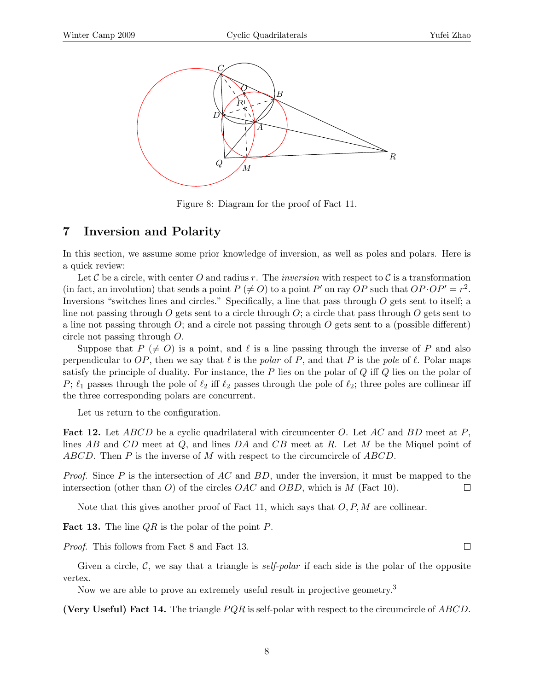

Figure 8: Diagram for the proof of Fact 11.

#### 7 Inversion and Polarity

In this section, we assume some prior knowledge of inversion, as well as poles and polars. Here is a quick review:

Let C be a circle, with center O and radius r. The inversion with respect to C is a transformation (in fact, an involution) that sends a point  $P \neq O$  to a point P' on ray OP such that  $OP \cdot OP' = r^2$ . Inversions "switches lines and circles." Specifically, a line that pass through O gets sent to itself; a line not passing through O gets sent to a circle through  $O$ ; a circle that pass through O gets sent to a line not passing through  $O$ ; and a circle not passing through  $O$  gets sent to a (possible different) circle not passing through O.

Suppose that  $P \neq O$  is a point, and  $\ell$  is a line passing through the inverse of P and also perpendicular to OP, then we say that  $\ell$  is the polar of P, and that P is the pole of  $\ell$ . Polar maps satisfy the principle of duality. For instance, the  $P$  lies on the polar of  $Q$  iff  $Q$  lies on the polar of P;  $\ell_1$  passes through the pole of  $\ell_2$  iff  $\ell_2$  passes through the pole of  $\ell_2$ ; three poles are collinear iff the three corresponding polars are concurrent.

Let us return to the configuration.

**Fact 12.** Let  $ABCD$  be a cyclic quadrilateral with circumcenter O. Let AC and BD meet at P, lines  $AB$  and  $CD$  meet at  $Q$ , and lines  $DA$  and  $CB$  meet at  $R$ . Let  $M$  be the Miquel point of ABCD. Then  $P$  is the inverse of  $M$  with respect to the circumcircle of  $ABCD$ .

*Proof.* Since P is the intersection of AC and BD, under the inversion, it must be mapped to the intersection (other than O) of the circles  $OAC$  and  $OBD$ , which is M (Fact 10).  $\Box$ 

Note that this gives another proof of Fact 11, which says that  $O, P, M$  are collinear.

**Fact 13.** The line  $QR$  is the polar of the point  $P$ .

Proof. This follows from Fact 8 and Fact 13.

Given a circle,  $\mathcal{C}$ , we say that a triangle is *self-polar* if each side is the polar of the opposite vertex.

Now we are able to prove an extremely useful result in projective geometry.<sup>3</sup>

(Very Useful) Fact 14. The triangle  $PQR$  is self-polar with respect to the circumcircle of  $ABCD$ .

 $\Box$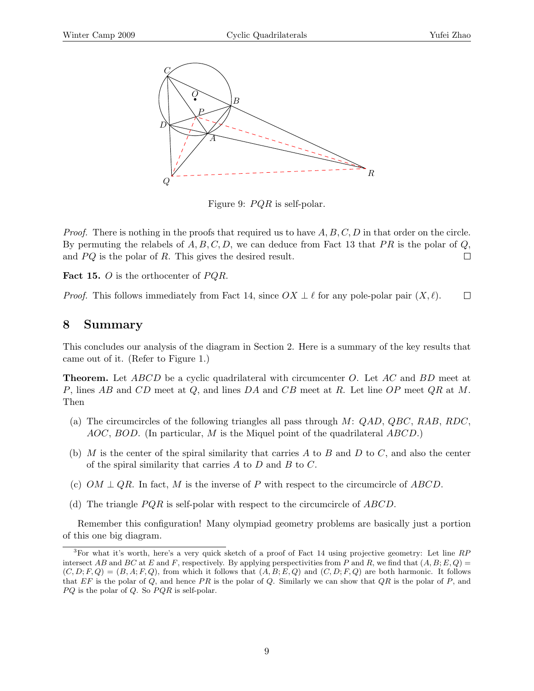

Figure 9:  $PQR$  is self-polar.

*Proof.* There is nothing in the proofs that required us to have  $A, B, C, D$  in that order on the circle. By permuting the relabels of  $A, B, C, D$ , we can deduce from Fact 13 that PR is the polar of Q, and  $PQ$  is the polar of R. This gives the desired result.  $\Box$ 

**Fact 15.** O is the orthocenter of  $PQR$ .

 $\Box$ *Proof.* This follows immediately from Fact 14, since  $OX \perp \ell$  for any pole-polar pair  $(X, \ell)$ .

#### 8 Summary

This concludes our analysis of the diagram in Section 2. Here is a summary of the key results that came out of it. (Refer to Figure 1.)

**Theorem.** Let ABCD be a cyclic quadrilateral with circumcenter O. Let AC and BD meet at P, lines AB and CD meet at Q, and lines DA and CB meet at R. Let line OP meet  $QR$  at M. Then

- (a) The circumcircles of the following triangles all pass through  $M: QAD, QBC, RAB, RDC$ ,  $AOC, BOD.$  (In particular, M is the Miquel point of the quadrilateral  $ABCD.$ )
- (b) M is the center of the spiral similarity that carries A to B and D to C, and also the center of the spiral similarity that carries  $A$  to  $D$  and  $B$  to  $C$ .
- (c)  $OM \perp QR$ . In fact, M is the inverse of P with respect to the circumcircle of ABCD.
- (d) The triangle  $PQR$  is self-polar with respect to the circumcircle of  $ABCD$ .

Remember this configuration! Many olympiad geometry problems are basically just a portion of this one big diagram.

<sup>&</sup>lt;sup>3</sup>For what it's worth, here's a very quick sketch of a proof of Fact 14 using projective geometry: Let line  $RP$ intersect AB and BC at E and F, respectively. By applying perspectivities from P and R, we find that  $(A, B; E, Q)$  =  $(C, D; F, Q) = (B, A; F, Q)$ , from which it follows that  $(A, B; E, Q)$  and  $(C, D; F, Q)$  are both harmonic. It follows that  $EF$  is the polar of  $Q$ , and hence PR is the polar of  $Q$ . Similarly we can show that  $QR$  is the polar of P, and  $PQ$  is the polar of  $Q$ . So  $PQR$  is self-polar.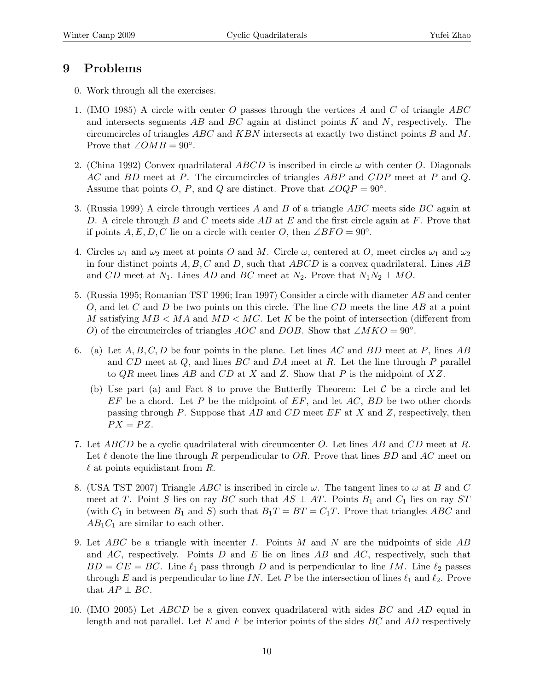# 9 Problems

- 0. Work through all the exercises.
- 1. (IMO 1985) A circle with center O passes through the vertices A and C of triangle  $ABC$ and intersects segments  $AB$  and  $BC$  again at distinct points K and N, respectively. The circumcircles of triangles  $ABC$  and  $KBN$  intersects at exactly two distinct points  $B$  and  $M$ . Prove that  $\angle OMB = 90^\circ$ .
- 2. (China 1992) Convex quadrilateral ABCD is inscribed in circle  $\omega$  with center O. Diagonals AC and BD meet at P. The circumcircles of triangles ABP and CDP meet at P and Q. Assume that points O, P, and Q are distinct. Prove that  $\angle OQP = 90^\circ$ .
- 3. (Russia 1999) A circle through vertices A and B of a triangle ABC meets side BC again at D. A circle through B and C meets side  $AB$  at E and the first circle again at F. Prove that if points  $A, E, D, C$  lie on a circle with center O, then  $\angle BFO = 90^\circ$ .
- 4. Circles  $\omega_1$  and  $\omega_2$  meet at points O and M. Circle  $\omega$ , centered at O, meet circles  $\omega_1$  and  $\omega_2$ in four distinct points  $A, B, C$  and D, such that  $ABCD$  is a convex quadrilateral. Lines  $AB$ and CD meet at  $N_1$ . Lines AD and BC meet at  $N_2$ . Prove that  $N_1N_2 \perp MO$ .
- 5. (Russia 1995; Romanian TST 1996; Iran 1997) Consider a circle with diameter AB and center O, and let C and D be two points on this circle. The line  $CD$  meets the line AB at a point M satisfying  $MB < MA$  and  $MD < MC$ . Let K be the point of intersection (different from O) of the circumcircles of triangles AOC and DOB. Show that  $\angle MKO = 90^\circ$ .
- 6. (a) Let  $A, B, C, D$  be four points in the plane. Let lines AC and BD meet at P, lines AB and  $CD$  meet at  $Q$ , and lines  $BC$  and  $DA$  meet at  $R$ . Let the line through  $P$  parallel to  $QR$  meet lines  $AB$  and  $CD$  at X and Z. Show that P is the midpoint of XZ.
	- (b) Use part (a) and Fact 8 to prove the Butterfly Theorem: Let  $\mathcal C$  be a circle and let  $EF$  be a chord. Let P be the midpoint of  $EF$ , and let  $AC$ ,  $BD$  be two other chords passing through P. Suppose that  $AB$  and  $CD$  meet  $EF$  at X and Z, respectively, then  $PX = PZ$ .
- 7. Let ABCD be a cyclic quadrilateral with circumcenter O. Let lines AB and CD meet at R. Let  $\ell$  denote the line through R perpendicular to OR. Prove that lines BD and AC meet on  $\ell$  at points equidistant from R.
- 8. (USA TST 2007) Triangle ABC is inscribed in circle  $\omega$ . The tangent lines to  $\omega$  at B and C meet at T. Point S lies on ray BC such that  $AS \perp AT$ . Points  $B_1$  and  $C_1$  lies on ray ST (with  $C_1$  in between  $B_1$  and S) such that  $B_1T = BT = C_1T$ . Prove that triangles ABC and  $AB_1C_1$  are similar to each other.
- 9. Let  $ABC$  be a triangle with incenter I. Points M and N are the midpoints of side  $AB$ and AC, respectively. Points D and E lie on lines AB and AC, respectively, such that  $BD = CE = BC$ . Line  $\ell_1$  pass through D and is perpendicular to line IM. Line  $\ell_2$  passes through E and is perpendicular to line IN. Let P be the intersection of lines  $\ell_1$  and  $\ell_2$ . Prove that  $AP \perp BC$ .
- 10. (IMO 2005) Let ABCD be a given convex quadrilateral with sides BC and AD equal in length and not parallel. Let E and F be interior points of the sides  $BC$  and AD respectively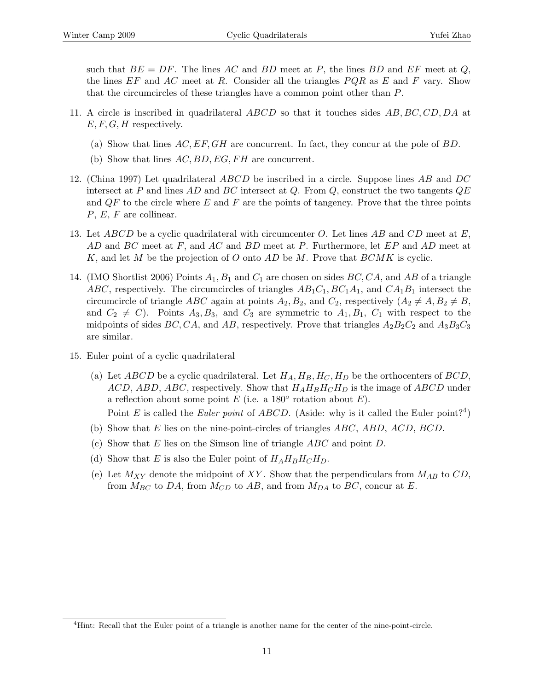such that  $BE = DF$ . The lines AC and BD meet at P, the lines BD and EF meet at Q, the lines  $EF$  and  $AC$  meet at R. Consider all the triangles  $PQR$  as E and F vary. Show that the circumcircles of these triangles have a common point other than P.

- 11. A circle is inscribed in quadrilateral ABCD so that it touches sides AB, BC, CD, DA at  $E, F, G, H$  respectively.
	- (a) Show that lines  $AC, EF, GH$  are concurrent. In fact, they concur at the pole of  $BD$ .
	- (b) Show that lines  $AC, BD, EG, FH$  are concurrent.
- 12. (China 1997) Let quadrilateral ABCD be inscribed in a circle. Suppose lines AB and DC intersect at P and lines AD and BC intersect at Q. From Q, construct the two tangents  $QE$ and  $QF$  to the circle where E and F are the points of tangency. Prove that the three points  $P, E, F$  are collinear.
- 13. Let ABCD be a cyclic quadrilateral with circumcenter O. Let lines AB and CD meet at  $E$ , AD and BC meet at F, and AC and BD meet at P. Furthermore, let EP and AD meet at K, and let M be the projection of O onto AD be M. Prove that  $BCMK$  is cyclic.
- 14. (IMO Shortlist 2006) Points  $A_1, B_1$  and  $C_1$  are chosen on sides  $BC, CA$ , and AB of a triangle ABC, respectively. The circumcircles of triangles  $AB_1C_1, BC_1A_1$ , and  $CA_1B_1$  intersect the circumcircle of triangle ABC again at points  $A_2, B_2$ , and  $C_2$ , respectively  $(A_2 \neq A, B_2 \neq B,$ and  $C_2 \neq C$ ). Points  $A_3, B_3$ , and  $C_3$  are symmetric to  $A_1, B_1, C_1$  with respect to the midpoints of sides BC, CA, and AB, respectively. Prove that triangles  $A_2B_2C_2$  and  $A_3B_3C_3$ are similar.
- 15. Euler point of a cyclic quadrilateral
	- (a) Let ABCD be a cyclic quadrilateral. Let  $H_A, H_B, H_C, H_D$  be the orthocenters of BCD,  $ACD$ ,  $ABD$ ,  $ABC$ , respectively. Show that  $H_A H_B H_C H_D$  is the image of  $ABCD$  under a reflection about some point  $E$  (i.e. a 180 $\textdegree$  rotation about  $E$ ). Point E is called the Euler point of ABCD. (Aside: why is it called the Euler point?<sup>4</sup>)
	- (b) Show that E lies on the nine-point-circles of triangles  $ABC$ ,  $ABD$ ,  $ACD$ ,  $BCD$ .
	- (c) Show that E lies on the Simson line of triangle  $ABC$  and point D.
	- (d) Show that E is also the Euler point of  $H_A H_B H_C H_D$ .
	- (e) Let  $M_{XY}$  denote the midpoint of XY. Show that the perpendiculars from  $M_{AB}$  to  $CD$ , from  $M_{BC}$  to DA, from  $M_{CD}$  to AB, and from  $M_{DA}$  to BC, concur at E.

<sup>4</sup>Hint: Recall that the Euler point of a triangle is another name for the center of the nine-point-circle.